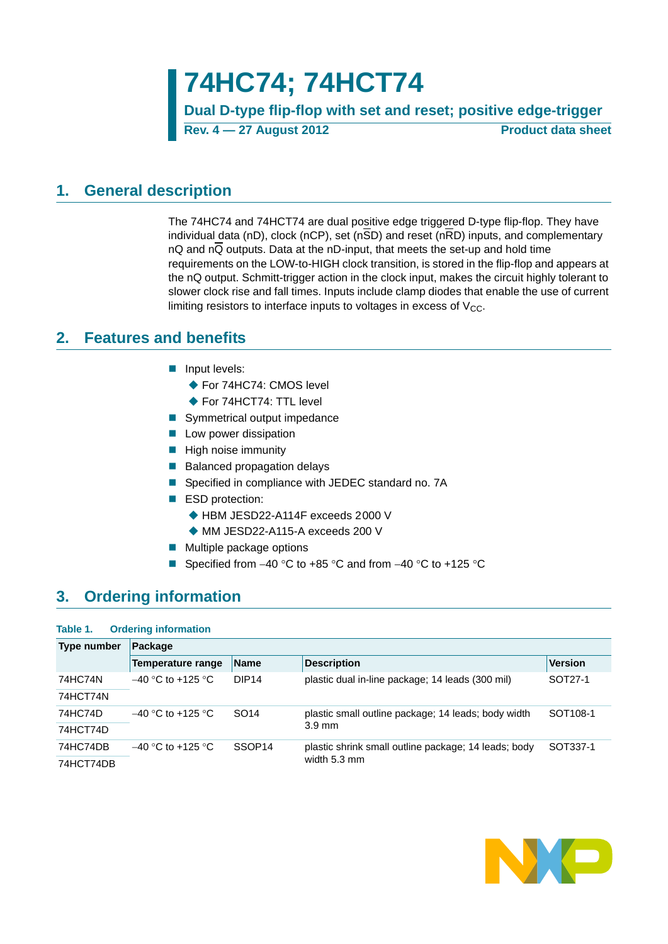**74HC74; 74HCT74**

**Dual D-type flip-flop with set and reset; positive edge-trigger Rev. 4 — 27 August 2012 Product data sheet**

## <span id="page-0-0"></span>**1. General description**

The 74HC74 and 74HCT74 are dual positive edge triggered D-type flip-flop. They have individual data (nD), clock (nCP), set (n $\overline{SD}$ ) and reset (n $\overline{RD}$ ) inputs, and complementary nQ and nQ outputs. Data at the nD-input, that meets the set-up and hold time requirements on the LOW-to-HIGH clock transition, is stored in the flip-flop and appears at the nQ output. Schmitt-trigger action in the clock input, makes the circuit highly tolerant to slower clock rise and fall times. Inputs include clamp diodes that enable the use of current limiting resistors to interface inputs to voltages in excess of  $V_{CC}$ .

## <span id="page-0-1"></span>**2. Features and benefits**

- **Input levels:** 
	- ◆ For 74HC74: CMOS level
	- ◆ For 74HCT74: TTL level
- Symmetrical output impedance
- **Low power dissipation**
- $\blacksquare$  High noise immunity
- Balanced propagation delays
- Specified in compliance with JEDEC standard no. 7A
- ESD protection:
	- ◆ HBM JESD22-A114F exceeds 2000 V
	- ◆ MM JESD22-A115-A exceeds 200 V
- **Multiple package options**
- Specified from  $-40$  °C to  $+85$  °C and from  $-40$  °C to  $+125$  °C

## <span id="page-0-2"></span>**3. Ordering information**

## **Table 1. Ordering information**

| Type number | Package              |                    |                                                      |                      |  |  |  |  |  |  |
|-------------|----------------------|--------------------|------------------------------------------------------|----------------------|--|--|--|--|--|--|
|             | Temperature range    | <b>Name</b>        | <b>Description</b>                                   | <b>Version</b>       |  |  |  |  |  |  |
| 74HC74N     | $-40$ °C to +125 °C. | DIP <sub>14</sub>  | plastic dual in-line package; 14 leads (300 mil)     | SOT27-1              |  |  |  |  |  |  |
| 74HCT74N    |                      |                    |                                                      |                      |  |  |  |  |  |  |
| 74HC74D     | $-40$ °C to +125 °C  | SO <sub>14</sub>   | plastic small outline package; 14 leads; body width  | SOT <sub>108-1</sub> |  |  |  |  |  |  |
| 74HCT74D    |                      |                    | $3.9 \text{ mm}$                                     |                      |  |  |  |  |  |  |
| 74HC74DB    | $-40$ °C to +125 °C  | SSOP <sub>14</sub> | plastic shrink small outline package; 14 leads; body | SOT337-1             |  |  |  |  |  |  |
| 74HCT74DB   |                      |                    | width 5.3 mm                                         |                      |  |  |  |  |  |  |

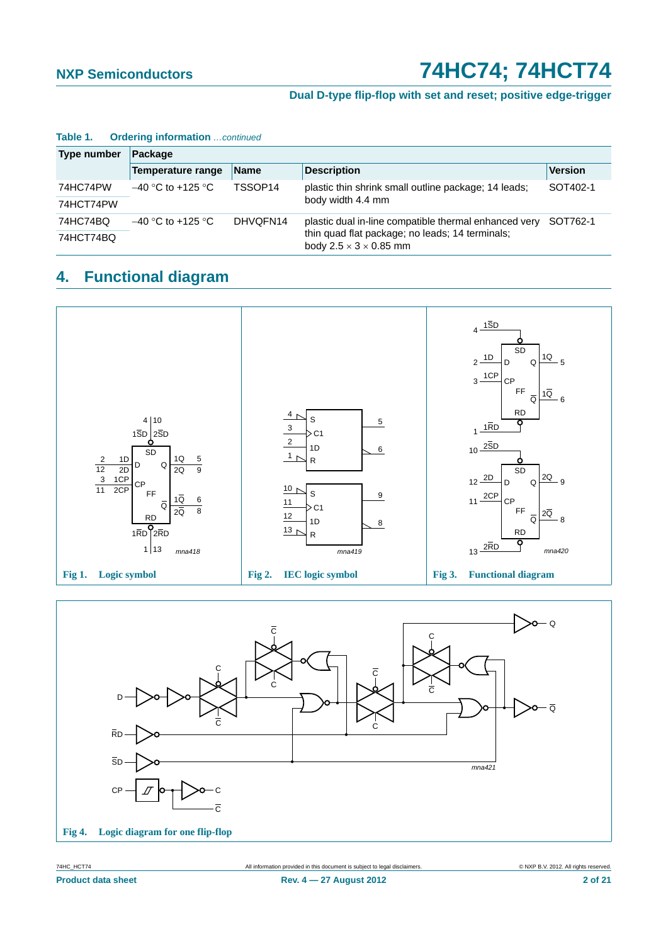## **Dual D-type flip-flop with set and reset; positive edge-trigger**

| <b>Type number</b> | Package                         |                     |                                                                                       |                |  |  |  |  |  |
|--------------------|---------------------------------|---------------------|---------------------------------------------------------------------------------------|----------------|--|--|--|--|--|
|                    | Temperature range               | <b>Name</b>         | <b>Description</b>                                                                    | <b>Version</b> |  |  |  |  |  |
| 74HC74PW           | $-40$ °C to +125 °C             | TSSOP <sub>14</sub> | plastic thin shrink small outline package; 14 leads;                                  | SOT402-1       |  |  |  |  |  |
| 74HCT74PW          |                                 |                     | body width 4.4 mm                                                                     |                |  |  |  |  |  |
| 74HC74BQ           | $-40$ °C to +125 °C<br>DHVQFN14 |                     | plastic dual in-line compatible thermal enhanced very                                 | SOT762-1       |  |  |  |  |  |
| 74HCT74BQ          |                                 |                     | thin quad flat package; no leads; 14 terminals;<br>body $2.5 \times 3 \times 0.85$ mm |                |  |  |  |  |  |

### **Table 1. Ordering information** *…continued*

## <span id="page-1-0"></span>**4. Functional diagram**



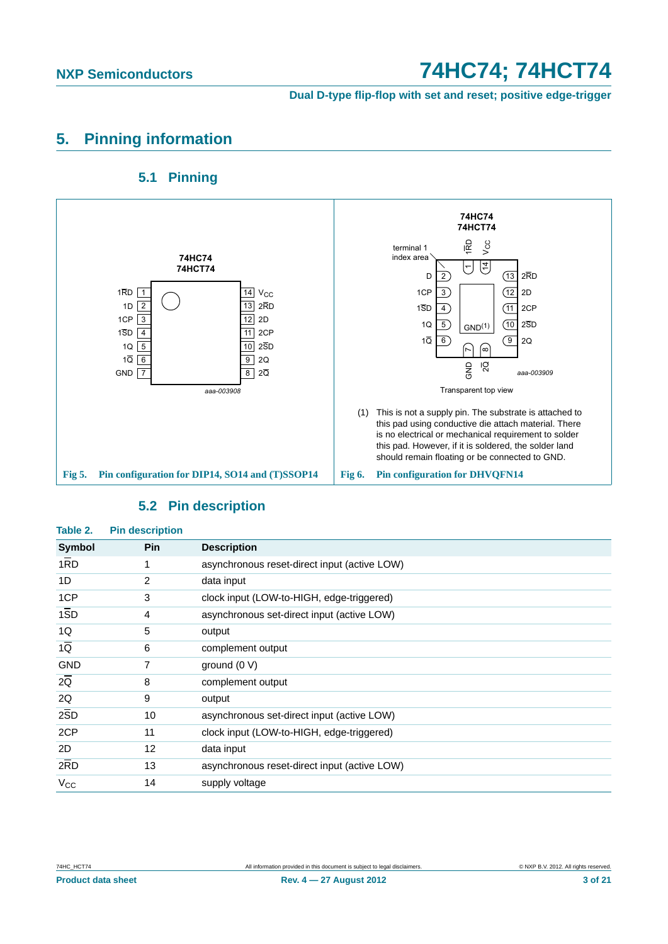**Dual D-type flip-flop with set and reset; positive edge-trigger**

## <span id="page-2-0"></span>**5. Pinning information**

## **5.1 Pinning**

<span id="page-2-1"></span>

## **5.2 Pin description**

<span id="page-2-2"></span>

| Table 2.         | <b>Pin description</b> |                                              |
|------------------|------------------------|----------------------------------------------|
| Symbol           | <b>Pin</b>             | <b>Description</b>                           |
| 1RD              | 1                      | asynchronous reset-direct input (active LOW) |
| 1D               | 2                      | data input                                   |
| 1CP              | 3                      | clock input (LOW-to-HIGH, edge-triggered)    |
| $1\overline{SD}$ | 4                      | asynchronous set-direct input (active LOW)   |
| 1Q               | 5                      | output                                       |
| $1\overline{Q}$  | 6                      | complement output                            |
| <b>GND</b>       | 7                      | ground $(0 V)$                               |
| 2Q               | 8                      | complement output                            |
| 2Q               | 9                      | output                                       |
| 2SD              | 10                     | asynchronous set-direct input (active LOW)   |
| 2CP              | 11                     | clock input (LOW-to-HIGH, edge-triggered)    |
| 2D               | 12                     | data input                                   |
| 2RD              | 13                     | asynchronous reset-direct input (active LOW) |
| $V_{\rm CC}$     | 14                     | supply voltage                               |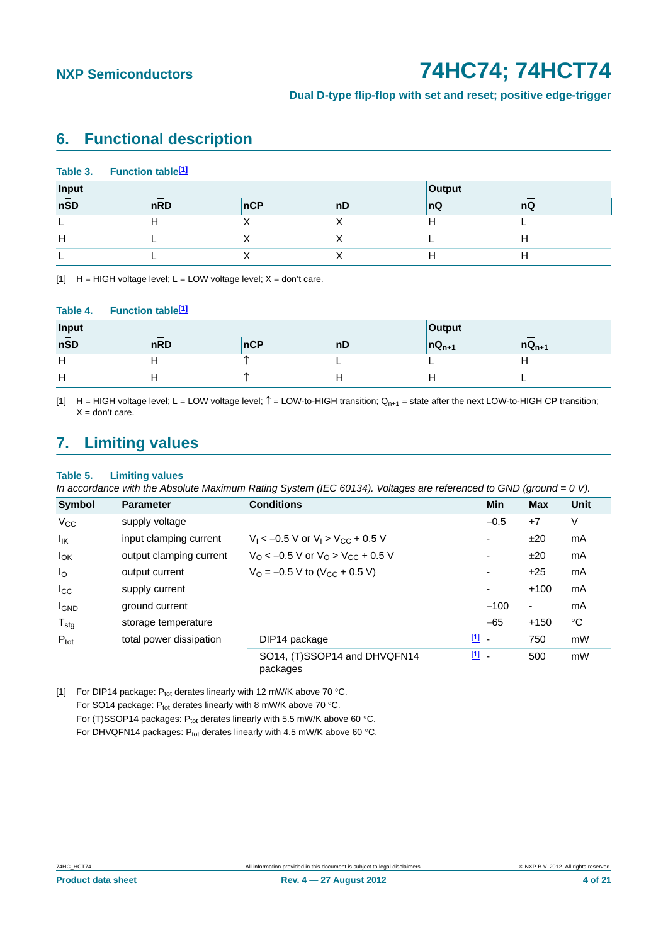**Dual D-type flip-flop with set and reset; positive edge-trigger**

## <span id="page-3-3"></span>**6. Functional description**

|                  | Table 3. Function table <sup>[1]</sup> |  |     |    |    |    |
|------------------|----------------------------------------|--|-----|----|----|----|
| Input<br>Output  |                                        |  |     |    |    |    |
| $n\overline{SD}$ | nRD                                    |  | nCP | nD | nQ | nQ |
|                  | н                                      |  |     |    | H  |    |
| H                |                                        |  |     |    |    | п  |
|                  |                                        |  |     |    |    |    |

<span id="page-3-0"></span>[1]  $H = HIGH$  voltage level;  $L = LOW$  voltage level;  $X = don't$  care.

#### Table 4. Function table<sup>[1]</sup>

| Input            |                  | <b>Output</b> |    |                                         |            |
|------------------|------------------|---------------|----|-----------------------------------------|------------|
| $n\overline{SD}$ | $n\overline{RD}$ | <b>nCP</b>    | nD | $\overline{\mathsf{D}}\mathsf{Q}_{n+1}$ | $nQ_{n+1}$ |
| Н                |                  |               |    |                                         |            |
| н                |                  |               |    |                                         |            |

<span id="page-3-2"></span>[1]  $H = HIGH$  voltage level;  $L = LOW$  voltage level;  $\hat{T} = LOW$ -to-HIGH transition;  $Q_{n+1}$  = state after the next LOW-to-HIGH CP transition;  $X =$  don't care.

## <span id="page-3-4"></span>**7. Limiting values**

#### **Table 5. Limiting values**

*In accordance with the Absolute Maximum Rating System (IEC 60134). Voltages are referenced to GND (ground = 0 V).*

| <b>Symbol</b>    | <b>Parameter</b>        | <b>Conditions</b>                                             |               | <b>Min</b>               | <b>Max</b>               | Unit        |
|------------------|-------------------------|---------------------------------------------------------------|---------------|--------------------------|--------------------------|-------------|
| $V_{CC}$         | supply voltage          |                                                               |               | $-0.5$                   | $+7$                     | $\vee$      |
| lικ              | input clamping current  | $V_1 < -0.5$ V or $V_1 > V_{CC} + 0.5$ V                      |               |                          | ±20                      | mA          |
| $I_{OK}$         | output clamping current | $V_{\rm O}$ < -0.5 V or $V_{\rm O}$ > V <sub>CC</sub> + 0.5 V |               | ٠                        | ±20                      | mA          |
| $I_{\rm O}$      | output current          | $V_{\text{O}} = -0.5 \text{ V}$ to (V <sub>CC</sub> + 0.5 V)  |               | $\overline{\phantom{a}}$ | ±25                      | mA          |
| $I_{\rm CC}$     | supply current          |                                                               |               | -                        | $+100$                   | mA          |
| <b>I</b> GND     | ground current          |                                                               |               | $-100$                   | $\overline{\phantom{a}}$ | mA          |
| $T_{\text{stg}}$ | storage temperature     |                                                               |               | $-65$                    | $+150$                   | $^{\circ}C$ |
| $P_{\text{tot}}$ | total power dissipation | DIP14 package                                                 | $\boxed{1}$ - |                          | 750                      | mW          |
|                  |                         | SO14, (T)SSOP14 and DHVQFN14<br>packages                      | $11 -$        |                          | 500                      | mW          |

<span id="page-3-1"></span>[1] For DIP14 package:  $P_{tot}$  derates linearly with 12 mW/K above 70 °C. For SO14 package:  $P_{tot}$  derates linearly with 8 mW/K above 70 °C. For (T)SSOP14 packages:  $P_{tot}$  derates linearly with 5.5 mW/K above 60 °C. For DHVQFN14 packages:  $P_{tot}$  derates linearly with 4.5 mW/K above 60 °C.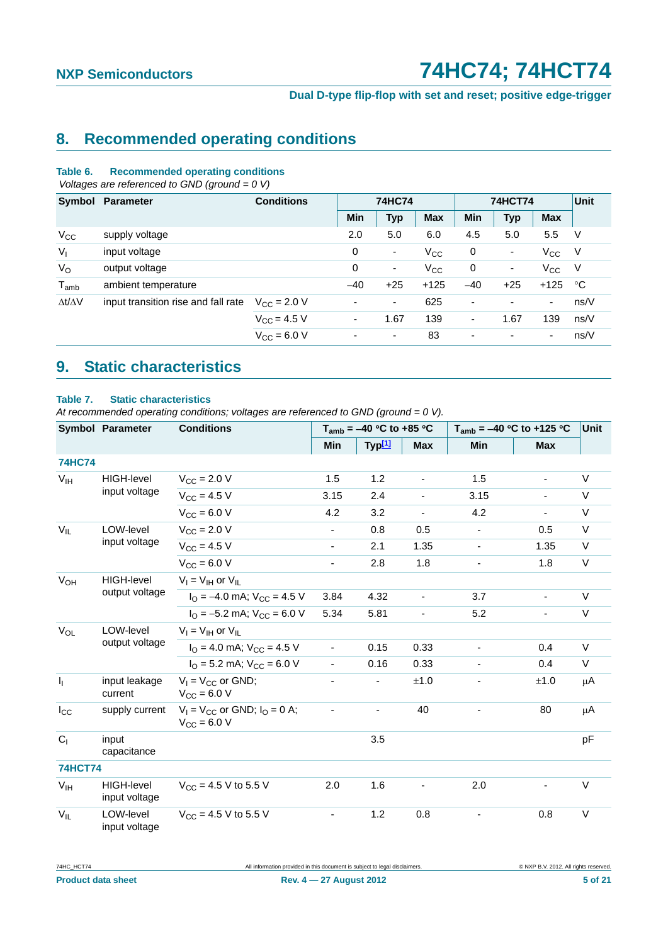**Dual D-type flip-flop with set and reset; positive edge-trigger**

## <span id="page-4-0"></span>**8. Recommended operating conditions**

#### **Table 6. Recommended operating conditions**

 *Voltages are referenced to GND (ground = 0 V)*

| Symbol              | Parameter                           | <b>Conditions</b>    |                          | <b>74HC74</b>            |            |       | <b>74HCT74</b>           |                          |        |
|---------------------|-------------------------------------|----------------------|--------------------------|--------------------------|------------|-------|--------------------------|--------------------------|--------|
|                     |                                     |                      | <b>Min</b>               | <b>Typ</b>               | <b>Max</b> | Min   | <b>Typ</b>               | <b>Max</b>               |        |
| $V_{CC}$            | supply voltage                      |                      | 2.0                      | 5.0                      | 6.0        | 4.5   | 5.0                      | 5.5                      | V      |
| $V_{I}$             | input voltage                       |                      | 0                        | $\overline{\phantom{a}}$ | $V_{CC}$   | 0     | ۰                        | $V_{\rm CC}$             | - V    |
| $V_{\rm O}$         | output voltage                      |                      | 0                        | $\overline{\phantom{a}}$ | $V_{CC}$   | 0     | $\overline{\phantom{a}}$ | $V_{\rm CC}$             | $\vee$ |
| $T_{amb}$           | ambient temperature                 |                      | $-40$                    | $+25$                    | $+125$     | $-40$ | $+25$                    | $+125$                   | °C     |
| $\Delta t/\Delta V$ | input transition rise and fall rate | $V_{\rm CC} = 2.0 V$ | $\overline{\phantom{a}}$ | ۰.                       | 625        | ٠     | $\overline{\phantom{a}}$ | $\overline{\phantom{a}}$ | ns/V   |
|                     |                                     | $V_{\rm CC}$ = 4.5 V | ٠                        | 1.67                     | 139        | ٠     | 1.67                     | 139                      | ns/V   |
|                     |                                     | $V_{\rm CC} = 6.0 V$ | $\overline{\phantom{a}}$ | $\overline{\phantom{a}}$ | 83         | ٠     | ۰                        | ۰                        | ns/V   |

## <span id="page-4-1"></span>**9. Static characteristics**

#### **Table 7. Static characteristics**

*At recommended operating conditions; voltages are referenced to GND (ground = 0 V).*

|                           | <b>Symbol Parameter</b>             | <b>Conditions</b>                                       |                          | $T_{amb}$ = -40 °C to +85 °C |                              |                              | $T_{amb}$ = -40 °C to +125 °C |        |
|---------------------------|-------------------------------------|---------------------------------------------------------|--------------------------|------------------------------|------------------------------|------------------------------|-------------------------------|--------|
|                           |                                     |                                                         | Min                      | Typ <b>[1]</b>               | <b>Max</b>                   | Min                          | <b>Max</b>                    |        |
| <b>74HC74</b>             |                                     |                                                         |                          |                              |                              |                              |                               |        |
| $V_{IH}$                  | HIGH-level                          | $V_{\rm CC} = 2.0 V$                                    | 1.5                      | 1.2                          | $\blacksquare$               | 1.5                          | $\blacksquare$                | $\vee$ |
|                           | input voltage                       | $V_{CC}$ = 4.5 V                                        | 3.15                     | 2.4                          | $\blacksquare$               | 3.15                         | $\overline{\phantom{0}}$      | $\vee$ |
|                           |                                     | $V_{CC} = 6.0 V$                                        | 4.2                      | 3.2                          | $\blacksquare$               | 4.2                          |                               | $\vee$ |
| $V_{IL}$                  | LOW-level                           | $V_{\text{CC}} = 2.0 V$                                 | $\blacksquare$           | 0.8                          | 0.5                          | $\blacksquare$               | 0.5                           | $\vee$ |
|                           | input voltage                       | $V_{CC} = 4.5 V$                                        | $\blacksquare$           | 2.1                          | 1.35                         | $\blacksquare$               | 1.35                          | $\vee$ |
|                           |                                     | $V_{CC}$ = 6.0 V                                        | $\blacksquare$           | 2.8                          | 1.8                          |                              | 1.8                           | $\vee$ |
| $V_{OH}$                  | <b>HIGH-level</b><br>output voltage | $V_1 = V_{1H}$ or $V_{1L}$                              |                          |                              |                              |                              |                               |        |
|                           |                                     | $I_{\Omega}$ = -4.0 mA; $V_{\text{CC}}$ = 4.5 V         | 3.84                     | 4.32                         | $\overline{\phantom{a}}$     | 3.7                          | $\blacksquare$                | $\vee$ |
|                           |                                     | $I_{\Omega} = -5.2$ mA; $V_{\text{CC}} = 6.0$ V         | 5.34                     | 5.81                         |                              | 5.2                          |                               | V      |
| $V_{OL}$                  | LOW-level                           | $V_I = V_{IH}$ or $V_{II}$                              |                          |                              |                              |                              |                               |        |
|                           | output voltage                      | $I_{\Omega}$ = 4.0 mA; $V_{\text{CC}}$ = 4.5 V          | $\blacksquare$           | 0.15                         | 0.33                         |                              | 0.4                           | $\vee$ |
|                           |                                     | $I_{\Omega}$ = 5.2 mA; $V_{\text{CC}}$ = 6.0 V          | $\blacksquare$           | 0.16                         | 0.33                         |                              | 0.4                           | V      |
| $\mathbf{I}_{\mathbf{I}}$ | input leakage<br>current            | $V_1 = V_{CC}$ or GND;<br>$V_{CC} = 6.0 V$              |                          |                              | ±1.0                         |                              | ±1.0                          | μA     |
| $I_{\rm CC}$              | supply current                      | $V_1 = V_{CC}$ or GND; $I_Q = 0$ A;<br>$V_{CC} = 6.0 V$ | $\overline{\phantom{a}}$ | $\overline{\phantom{0}}$     | 40                           | $\qquad \qquad \blacksquare$ | 80                            | μA     |
| $C_{1}$                   | input<br>capacitance                |                                                         |                          | 3.5                          |                              |                              |                               | pF     |
| <b>74HCT74</b>            |                                     |                                                         |                          |                              |                              |                              |                               |        |
| V <sub>IH</sub>           | HIGH-level<br>input voltage         | $V_{CC}$ = 4.5 V to 5.5 V                               | 2.0                      | 1.6                          | $\qquad \qquad \blacksquare$ | 2.0                          |                               | $\vee$ |
| $V_{IL}$                  | LOW-level<br>input voltage          | $V_{CC}$ = 4.5 V to 5.5 V                               |                          | 1.2                          | 0.8                          |                              | 0.8                           | $\vee$ |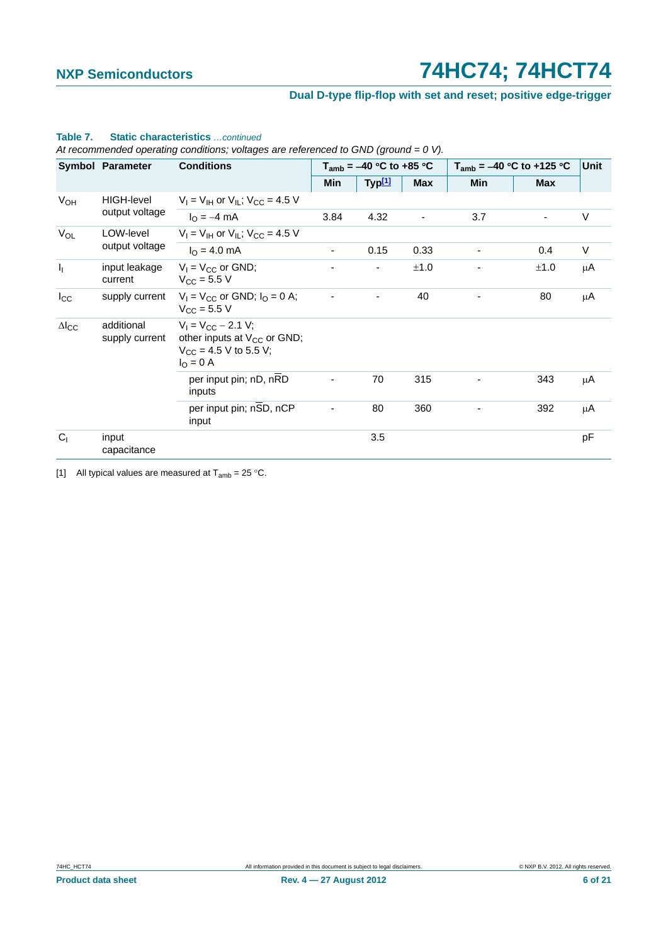## **Dual D-type flip-flop with set and reset; positive edge-trigger**

|                           | <b>Symbol Parameter</b>      | <b>Conditions</b>                                                                                                |                          | $T_{amb} = -40$ °C to +85 °C |            | $T_{amb}$ = -40 °C to +125 °C | <b>Unit</b> |        |
|---------------------------|------------------------------|------------------------------------------------------------------------------------------------------------------|--------------------------|------------------------------|------------|-------------------------------|-------------|--------|
|                           |                              |                                                                                                                  | <b>Min</b>               | Typ <sup>[1]</sup>           | <b>Max</b> | Min                           | <b>Max</b>  |        |
| <b>V<sub>OH</sub></b>     | <b>HIGH-level</b>            | $V_1 = V_{1H}$ or $V_{1L}$ ; $V_{CC} = 4.5$ V                                                                    |                          |                              |            |                               |             |        |
|                           | output voltage               | $I_{\Omega} = -4$ mA                                                                                             | 3.84                     | 4.32                         | ۰          | 3.7                           |             | $\vee$ |
| $V_{OL}$                  | LOW-level<br>output voltage  | $V_1 = V_{1H}$ or $V_{1L}$ ; $V_{CC} = 4.5$ V                                                                    |                          |                              |            |                               |             |        |
|                           |                              | $I_0 = 4.0$ mA                                                                                                   | $\overline{\phantom{a}}$ | 0.15                         | 0.33       |                               | 0.4         | V      |
| $\mathbf{I}_{\mathbf{I}}$ | input leakage<br>current     | $V_1 = V_{CC}$ or GND;<br>$V_{CC} = 5.5 V$                                                                       |                          |                              | ±1.0       |                               | ±1.0        | μA     |
| $I_{\rm CC}$              | supply current               | $V_1 = V_{CC}$ or GND; $I_0 = 0$ A;<br>$V_{C}$ = 5.5 V                                                           |                          |                              | 40         |                               | 80          | μA     |
| $\Delta I_{CC}$           | additional<br>supply current | $V_1 = V_{CC} - 2.1 V$ ;<br>other inputs at $V_{CC}$ or GND;<br>$V_{CC}$ = 4.5 V to 5.5 V;<br>$I_{\Omega} = 0$ A |                          |                              |            |                               |             |        |
|                           |                              | per input pin; nD, nRD<br>inputs                                                                                 |                          | 70                           | 315        |                               | 343         | μA     |
|                           |                              | per input pin; nSD, nCP<br>input                                                                                 |                          | 80                           | 360        |                               | 392         | μA     |
| C <sub>1</sub>            | input<br>capacitance         |                                                                                                                  |                          | 3.5                          |            |                               |             | pF     |

## **Table 7. Static characteristics** *…continued*

*At recommended operating conditions; voltages are referenced to GND (ground = 0 V).*

<span id="page-5-0"></span>[1] All typical values are measured at  $T_{amb} = 25 \degree C$ .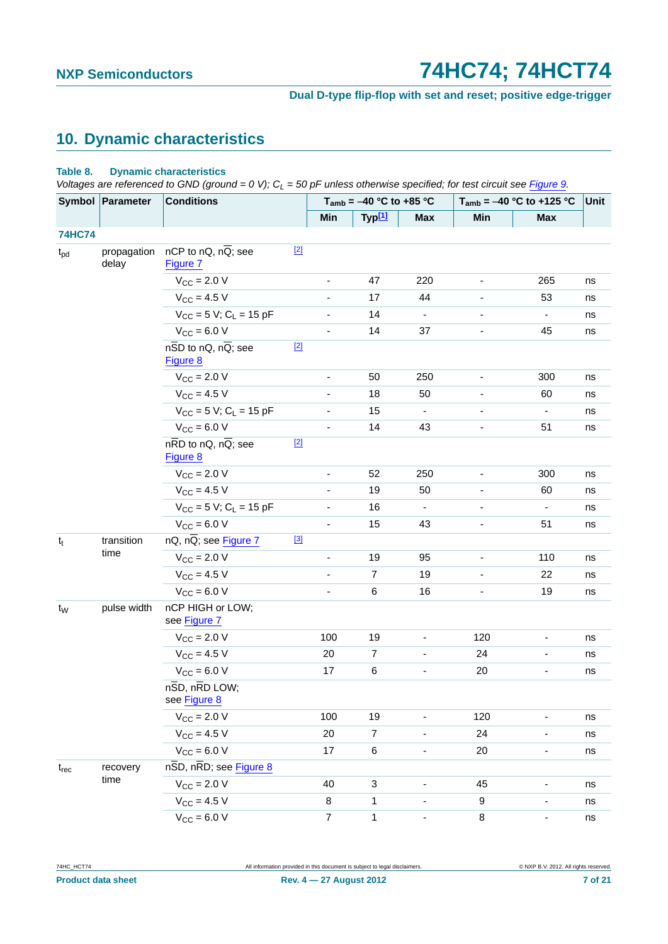**Dual D-type flip-flop with set and reset; positive edge-trigger**

## <span id="page-6-0"></span>**10. Dynamic characteristics**

#### **Table 8. Dynamic characteristics**

*Voltages are referenced to GND (ground = 0 V); C<sub>L</sub> = 50 pF unless otherwise specified; for test circuit see [Figure 9.](#page-11-0)* 

|               | Symbol Parameter     | $\frac{1}{2}$ . The constant of $\frac{1}{2}$ is the set of $\frac{1}{2}$ is the constant of $\frac{1}{2}$ is the constant of $\frac{1}{2}$<br><b>Conditions</b> |       |                          | $T_{amb}$ = -40 °C to +85 °C |                |                          | $-$ of $\mu$ announced strike into opposition, i.e., i.e., on call soon rights of<br>$T_{amb} = -40 °C$ to +125 °C | Unit |
|---------------|----------------------|------------------------------------------------------------------------------------------------------------------------------------------------------------------|-------|--------------------------|------------------------------|----------------|--------------------------|--------------------------------------------------------------------------------------------------------------------|------|
|               |                      |                                                                                                                                                                  |       | Min                      | Typ <sup>[1]</sup>           | Max            | Min                      | <b>Max</b>                                                                                                         |      |
| <b>74HC74</b> |                      |                                                                                                                                                                  |       |                          |                              |                |                          |                                                                                                                    |      |
| $t_{\rm pd}$  | propagation<br>delay | nCP to nQ, nQ; see<br>Figure 7                                                                                                                                   | $[2]$ |                          |                              |                |                          |                                                                                                                    |      |
|               |                      | $V_{\rm CC} = 2.0 V$                                                                                                                                             |       |                          | 47                           | 220            |                          | 265                                                                                                                | ns   |
|               |                      | $V_{CC} = 4.5 V$                                                                                                                                                 |       | ÷,                       | 17                           | 44             |                          | 53                                                                                                                 | ns   |
|               |                      | $V_{CC}$ = 5 V; C <sub>L</sub> = 15 pF                                                                                                                           |       |                          | 14                           |                |                          |                                                                                                                    | ns   |
|               |                      | $V_{\text{CC}} = 6.0 V$                                                                                                                                          |       |                          | 14                           | 37             |                          | 45                                                                                                                 | ns   |
|               |                      | $n\overline{SD}$ to nQ, nQ; see<br>Figure 8                                                                                                                      | $[2]$ |                          |                              |                |                          |                                                                                                                    |      |
|               |                      | $V_{\text{CC}} = 2.0 V$                                                                                                                                          |       | $\blacksquare$           | 50                           | 250            | $\overline{\phantom{a}}$ | 300                                                                                                                | ns   |
|               |                      | $V_{CC}$ = 4.5 V                                                                                                                                                 |       |                          | 18                           | 50             |                          | 60                                                                                                                 | ns   |
|               |                      | $V_{CC}$ = 5 V; C <sub>L</sub> = 15 pF                                                                                                                           |       |                          | 15                           |                |                          | $\qquad \qquad \blacksquare$                                                                                       | ns   |
|               |                      | $V_{CC}$ = 6.0 V                                                                                                                                                 |       |                          | 14                           | 43             |                          | 51                                                                                                                 | ns   |
|               |                      | $n\overline{RD}$ to nQ, $n\overline{Q}$ ; see<br>Figure 8                                                                                                        | $[2]$ |                          |                              |                |                          |                                                                                                                    |      |
|               |                      | $V_{CC}$ = 2.0 V                                                                                                                                                 |       | $\blacksquare$           | 52                           | 250            | $\overline{\phantom{a}}$ | 300                                                                                                                | ns   |
|               |                      | $V_{CC}$ = 4.5 V                                                                                                                                                 |       |                          | 19                           | 50             |                          | 60                                                                                                                 | ns   |
|               |                      | $V_{CC}$ = 5 V; C <sub>L</sub> = 15 pF                                                                                                                           |       |                          | 16                           | $\blacksquare$ | ٠                        | $\blacksquare$                                                                                                     | ns   |
|               |                      | $V_{CC}$ = 6.0 V                                                                                                                                                 |       |                          | 15                           | 43             |                          | 51                                                                                                                 | ns   |
| $t_t$         | transition           | $nQ$ , $n\overline{Q}$ ; see Figure 7                                                                                                                            | [3]   |                          |                              |                |                          |                                                                                                                    |      |
|               | time                 | $V_{\text{CC}}$ = 2.0 V                                                                                                                                          |       |                          | 19                           | 95             | $\overline{\phantom{a}}$ | 110                                                                                                                | ns   |
|               |                      | $V_{CC} = 4.5 V$                                                                                                                                                 |       | $\overline{\phantom{0}}$ | $\overline{7}$               | 19             | $\overline{\phantom{a}}$ | 22                                                                                                                 | ns   |
|               |                      | $V_{CC}$ = 6.0 V                                                                                                                                                 |       | $\overline{\phantom{0}}$ | $\,6\,$                      | 16             |                          | 19                                                                                                                 | ns   |
| $t_{W}$       | pulse width          | nCP HIGH or LOW;<br>see Figure 7                                                                                                                                 |       |                          |                              |                |                          |                                                                                                                    |      |
|               |                      | $V_{\text{CC}} = 2.0 V$                                                                                                                                          |       | 100                      | 19                           |                | 120                      |                                                                                                                    | ns   |
|               |                      | $V_{CC} = 4.5 V$                                                                                                                                                 |       | 20                       | $\overline{7}$               |                | 24                       | $\qquad \qquad \blacksquare$                                                                                       | ns   |
|               |                      | $V_{CC} = 6.0 V$                                                                                                                                                 |       | 17                       | $\,6\,$                      |                | 20                       |                                                                                                                    | ns   |
|               |                      | $n\overline{SD}$ , $n\overline{RD}$ LOW;<br>see Figure 8                                                                                                         |       |                          |                              |                |                          |                                                                                                                    |      |
|               |                      | $V_{CC}$ = 2.0 V                                                                                                                                                 |       | 100                      | 19                           |                | 120                      |                                                                                                                    | ns   |
|               |                      | $V_{CC} = 4.5 V$                                                                                                                                                 |       | 20                       | $\overline{7}$               |                | 24                       | $\qquad \qquad \blacksquare$                                                                                       | ns   |
|               |                      | $V_{CC} = 6.0 V$                                                                                                                                                 |       | 17                       | 6                            | $\blacksquare$ | 20                       | ٠                                                                                                                  | ns   |
| $t_{rec}$     | recovery             | nSD, nRD; see Figure 8                                                                                                                                           |       |                          |                              |                |                          |                                                                                                                    |      |
|               | time                 | $V_{CC} = 2.0 V$                                                                                                                                                 |       | 40                       | 3                            |                | 45                       |                                                                                                                    | ns   |
|               |                      | $V_{CC} = 4.5 V$                                                                                                                                                 |       | 8                        | $\mathbf{1}$                 |                | 9                        | -                                                                                                                  | ns   |
|               |                      | $V_{CC}$ = 6.0 V                                                                                                                                                 |       | $\overline{7}$           | $\mathbf{1}$                 |                | $\bf 8$                  | ٠                                                                                                                  | ns   |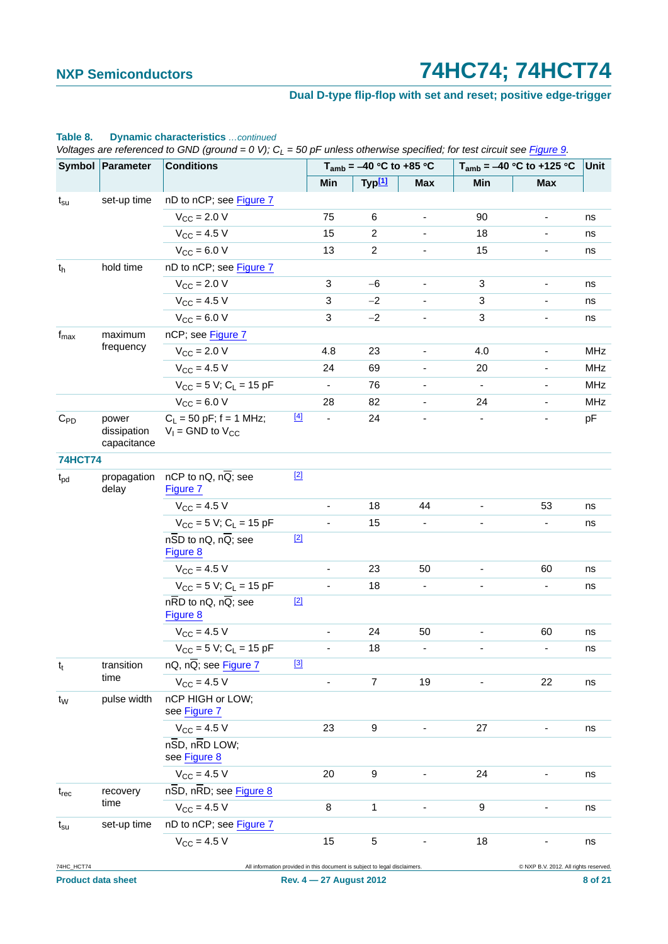## **Dual D-type flip-flop with set and reset; positive edge-trigger**

|                  | Symbol Parameter                    | <b>Conditions</b>                                         |       |                          | $T_{amb}$ = -40 °C to +85 °C                                               |                              | $T_{amb} = -40 °C$ to +125 °C |                                      |     |
|------------------|-------------------------------------|-----------------------------------------------------------|-------|--------------------------|----------------------------------------------------------------------------|------------------------------|-------------------------------|--------------------------------------|-----|
|                  |                                     |                                                           |       | Min                      | Typ[1]                                                                     | <b>Max</b>                   | Min                           | <b>Max</b>                           |     |
| $t_{\rm su}$     | set-up time                         | nD to nCP; see Figure 7                                   |       |                          |                                                                            |                              |                               |                                      |     |
|                  |                                     | $V_{CC}$ = 2.0 V                                          |       | 75                       | 6                                                                          | $\qquad \qquad \blacksquare$ | 90                            | $\blacksquare$                       | ns  |
|                  |                                     | $V_{\text{CC}} = 4.5 V$                                   |       | 15                       | $\overline{c}$                                                             |                              | 18                            |                                      | ns  |
|                  |                                     | $V_{CC}$ = 6.0 V                                          |       | 13                       | $\overline{2}$                                                             |                              | 15                            |                                      | ns  |
| $t_h$            | hold time                           | nD to nCP; see Figure 7                                   |       |                          |                                                                            |                              |                               |                                      |     |
|                  |                                     | $V_{\rm CC}$ = 2.0 V                                      |       | $\mathbf{3}$             | $-6$                                                                       | $\qquad \qquad \blacksquare$ | 3                             | ٠                                    | ns  |
|                  |                                     | $V_{\text{CC}} = 4.5 V$                                   |       | 3                        | $-2$                                                                       |                              | 3                             |                                      | ns  |
|                  |                                     | $V_{CC}$ = 6.0 V                                          |       | 3                        | $-2$                                                                       |                              | 3                             |                                      | ns  |
| $f_{\text{max}}$ | maximum                             | nCP; see Figure 7                                         |       |                          |                                                                            |                              |                               |                                      |     |
|                  | frequency                           | $V_{CC}$ = 2.0 V                                          |       | 4.8                      | 23                                                                         | $\qquad \qquad \blacksquare$ | 4.0                           | $\blacksquare$                       | MHz |
|                  |                                     | $V_{\rm CC} = 4.5 V$                                      |       | 24                       | 69                                                                         |                              | 20                            |                                      | MHz |
|                  |                                     | $V_{CC}$ = 5 V; C <sub>L</sub> = 15 pF                    |       | $\overline{\phantom{a}}$ | 76                                                                         |                              | $\blacksquare$                |                                      | MHz |
|                  |                                     | $V_{CC} = 6.0 V$                                          |       | 28                       | 82                                                                         |                              | 24                            |                                      | MHz |
| $C_{PD}$         | power<br>dissipation<br>capacitance | $C_1 = 50$ pF; f = 1 MHz;<br>$V_1$ = GND to $V_{CC}$      | $[4]$ | $\blacksquare$           | 24                                                                         |                              | $\overline{\phantom{a}}$      |                                      | pF  |
| <b>74HCT74</b>   |                                     |                                                           |       |                          |                                                                            |                              |                               |                                      |     |
| $t_{\rm pd}$     | propagation<br>delay                | nCP to nQ, $n\overline{Q}$ ; see<br>Figure 7              | $[2]$ |                          |                                                                            |                              |                               |                                      |     |
|                  |                                     | $V_{\rm CC} = 4.5 V$                                      |       |                          | 18                                                                         | 44                           | $\overline{\phantom{a}}$      | 53                                   | ns  |
|                  |                                     | $V_{CC}$ = 5 V; C <sub>L</sub> = 15 pF                    |       | $\blacksquare$           | 15                                                                         |                              | $\overline{\phantom{a}}$      |                                      | ns  |
|                  |                                     | $n\overline{SD}$ to nQ, $n\overline{Q}$ ; see<br>Figure 8 | $[2]$ |                          |                                                                            |                              |                               |                                      |     |
|                  |                                     | $V_{CC}$ = 4.5 V                                          |       |                          | 23                                                                         | 50                           |                               | 60                                   | ns  |
|                  |                                     | $V_{CC}$ = 5 V; C <sub>L</sub> = 15 pF                    |       |                          | 18                                                                         |                              |                               |                                      | ns  |
|                  |                                     | $n\overline{RD}$ to nQ, $n\overline{Q}$ ; see<br>Figure 8 | $[2]$ |                          |                                                                            |                              |                               |                                      |     |
|                  |                                     | $V_{CC} = 4.5 V$                                          |       | $\overline{\phantom{a}}$ | 24                                                                         | 50                           | ٠                             | 60                                   | ns  |
|                  |                                     | $V_{CC} = 5 V$ ; C <sub>L</sub> = 15 pF                   |       |                          | 18                                                                         |                              |                               |                                      | ns  |
| $t_t$            | transition                          | $nQ$ , $n\overline{Q}$ ; see Figure 7                     | $[3]$ |                          |                                                                            |                              |                               |                                      |     |
|                  | time                                | $V_{CC} = 4.5 V$                                          |       |                          | $\overline{7}$                                                             | 19                           |                               | 22                                   | ns  |
| t <sub>w</sub>   | pulse width                         | nCP HIGH or LOW;<br>see Figure 7                          |       |                          |                                                                            |                              |                               |                                      |     |
|                  |                                     | $V_{CC}$ = 4.5 V                                          |       | 23                       | 9                                                                          |                              | 27                            |                                      | ns  |
|                  |                                     | nSD, nRD LOW;<br>see Figure 8                             |       |                          |                                                                            |                              |                               |                                      |     |
|                  |                                     | $V_{CC}$ = 4.5 V                                          |       | 20                       | 9                                                                          |                              | 24                            | ۰                                    | ns  |
| $t_{rec}$        | recovery                            | $n\overline{SD}$ , $n\overline{RD}$ ; see Figure 8        |       |                          |                                                                            |                              |                               |                                      |     |
|                  | time                                | $V_{CC}$ = 4.5 V                                          |       | 8                        | 1                                                                          |                              | 9                             |                                      | ns  |
| $t_{\rm su}$     | set-up time                         | nD to nCP; see Figure 7                                   |       |                          |                                                                            |                              |                               |                                      |     |
|                  |                                     | $V_{CC}$ = 4.5 V                                          |       | 15                       | $\mathbf 5$                                                                |                              | 18                            |                                      | ns  |
| 74HC_HCT74       |                                     |                                                           |       |                          | All information provided in this document is subject to legal disclaimers. |                              |                               | C NXP B.V. 2012. All rights reserved |     |

### **Table 8. Dynamic characteristics** *…continued*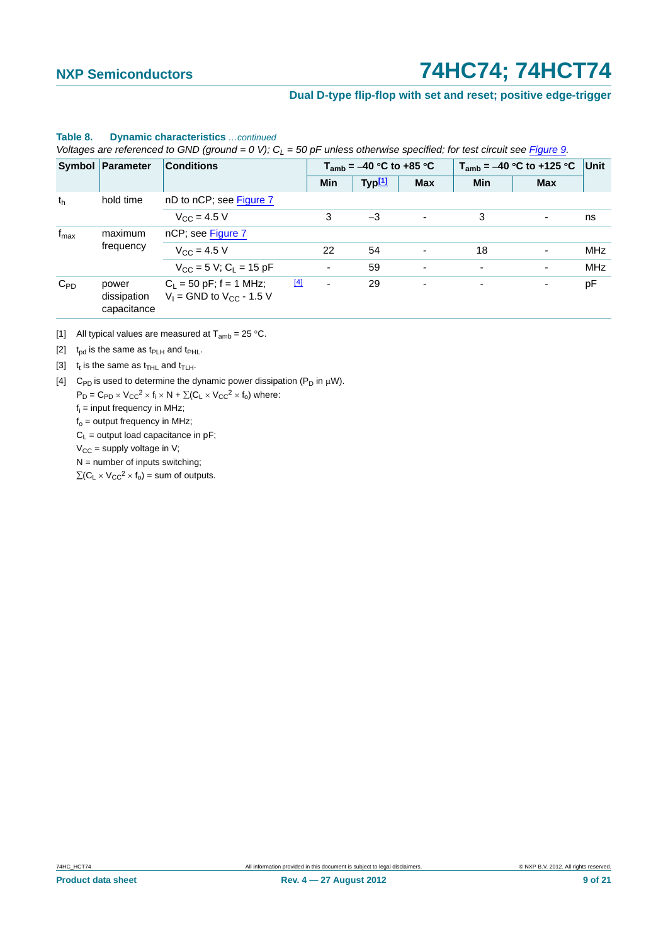### **Dual D-type flip-flop with set and reset; positive edge-trigger**

#### $t<sub>h</sub>$  hold time nD to nCP; see [Figure 7](#page-9-0)  $V_{\text{CC}} = 4.5 \text{ V}$  3  $-3$  - 3 - ns  $f_{\text{max}}$  maximum frequency nCP; see [Figure 7](#page-9-0)  $V_{CC} = 4.5 \text{ V}$  22 54 - 18 - MHz  $V_{\text{CC}} = 5 \text{ V}; C_1 = 15 \text{ pF}$  - 59 - - - MHz  $C_{PD}$  power dissipation capacitance  $C_L$  = 50 pF; f = 1 MHz;  $V_1$  = GND to  $V_{CC}$  - 1.5 V [\[4\]](#page-8-3) - 29 pF **Symbol Parameter Conditions T**<sub>amb</sub> =  $-40$  °C to +85 °C **T**<sub>amb</sub> =  $-40$  °C to +125 °C **Unit Min Typ[1] Max Min Max**

#### **Table 8. Dynamic characteristics** *…continued*

*Voltages are referenced to GND (ground = 0 V); CL = 50 pF unless otherwise specified; for test circuit see Figure 9.*

<span id="page-8-1"></span>[1] All typical values are measured at  $T_{amb} = 25 \degree C$ .

<span id="page-8-2"></span>[2]  $t_{\rm od}$  is the same as  $t_{\rm PLH}$  and  $t_{\rm PHL}$ .

<span id="page-8-0"></span>[3]  $t_t$  is the same as  $t_{\text{THL}}$  and  $t_{\text{TLH}}$ .

<span id="page-8-3"></span>[4] C<sub>PD</sub> is used to determine the dynamic power dissipation ( $P_D$  in  $\mu$ W).

 $P_D = C_{PD} \times V_{CC}^2 \times f_i \times N + \sum (C_L \times V_{CC}^2 \times f_o)$  where:

fi = input frequency in MHz;

 $f<sub>o</sub>$  = output frequency in MHz;

 $C_L$  = output load capacitance in pF;

 $V_{CC}$  = supply voltage in V;

 $N =$  number of inputs switching;

 $\sum(C_L \times V_{CC}^2 \times f_0)$  = sum of outputs.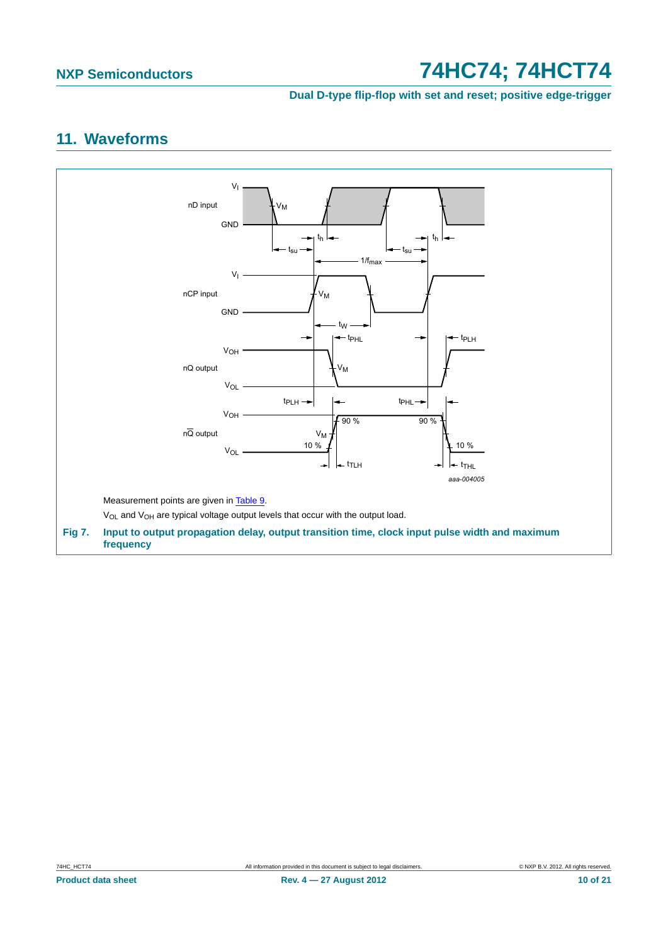**Dual D-type flip-flop with set and reset; positive edge-trigger**

# <span id="page-9-1"></span>**11. Waveforms**

<span id="page-9-0"></span>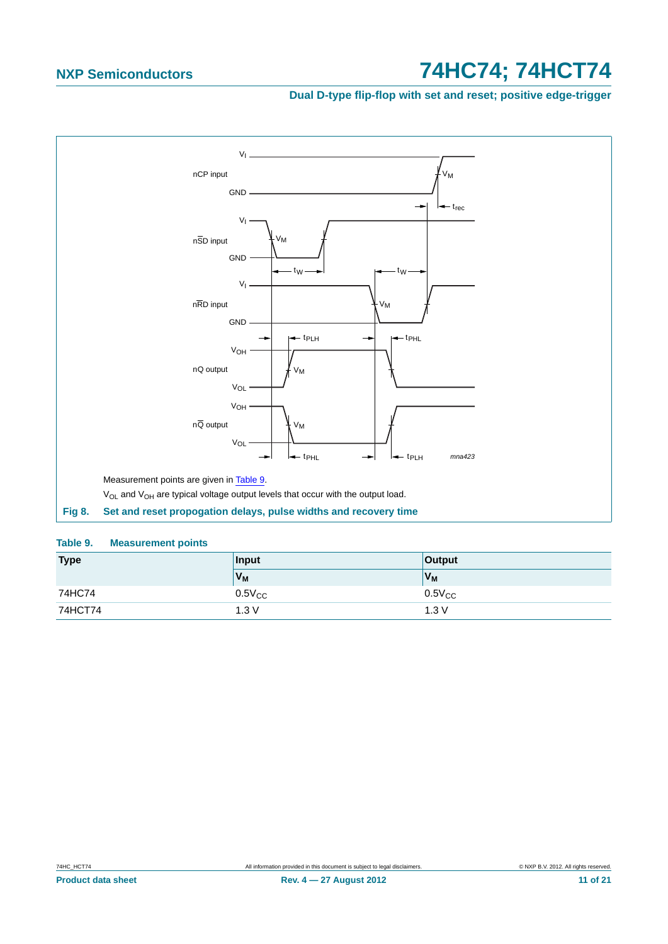**Dual D-type flip-flop with set and reset; positive edge-trigger**



#### <span id="page-10-1"></span><span id="page-10-0"></span>**Table 9. Measurement points**

| <b>Type</b> | Input       | <b>Output</b> |
|-------------|-------------|---------------|
|             | $V_M$       | $V_M$         |
| 74HC74      | $0.5V_{CC}$ | $0.5V_{CC}$   |
| 74HCT74     | 1.3V        | 1.3V          |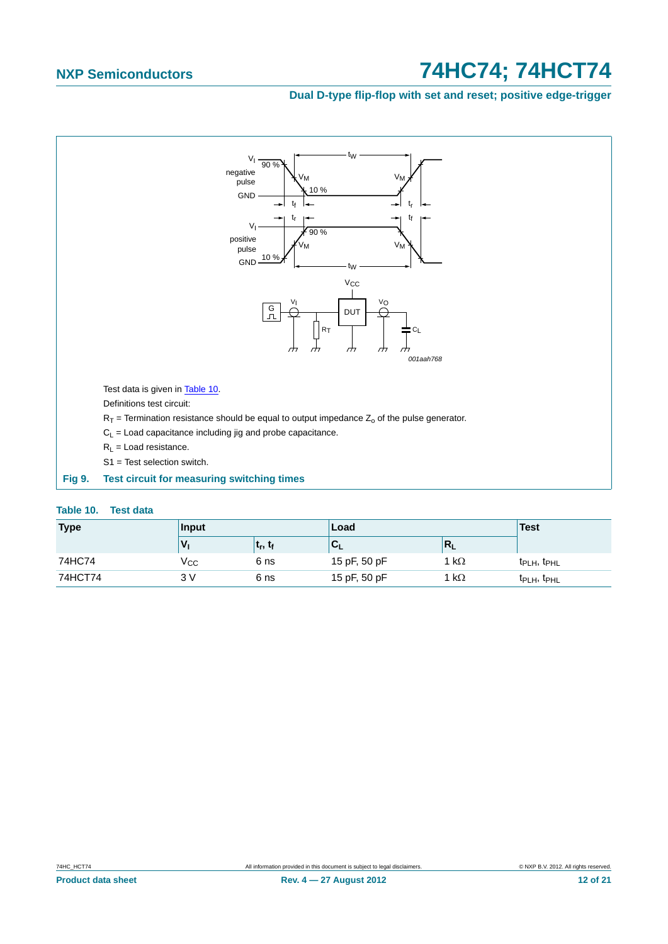## **Dual D-type flip-flop with set and reset; positive edge-trigger**



#### <span id="page-11-1"></span><span id="page-11-0"></span>**Table 10. Test data**

| <b>Type</b> | Input        |                    | Load         |                           | <b>Test</b>                         |
|-------------|--------------|--------------------|--------------|---------------------------|-------------------------------------|
|             |              | եր, ե <sub>ք</sub> | 'u           | $\mathsf{R}_{\mathsf{L}}$ |                                     |
| 74HC74      | $\rm V_{CC}$ | 6 ns               | 15 pF, 50 pF | 1 k $\Omega$              | $t_{\text{PLH}}$ , $t_{\text{PHL}}$ |
| 74HCT74     | 3 V          | 6 ns               | 15 pF, 50 pF | 1 k $\Omega$              | t <sub>PLH</sub> , t <sub>PHL</sub> |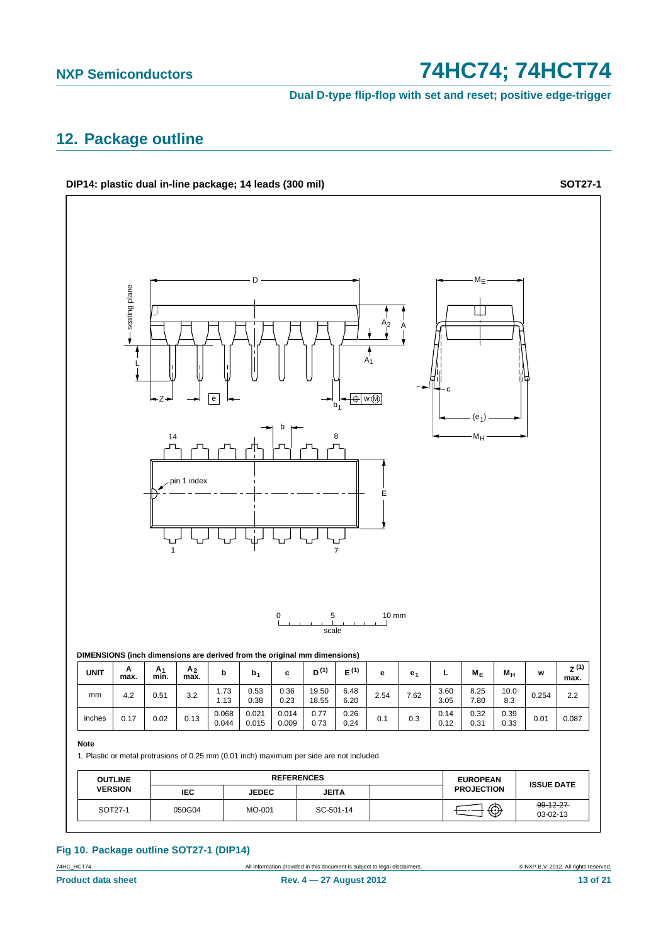**Dual D-type flip-flop with set and reset; positive edge-trigger**

## <span id="page-12-0"></span>**12. Package outline**

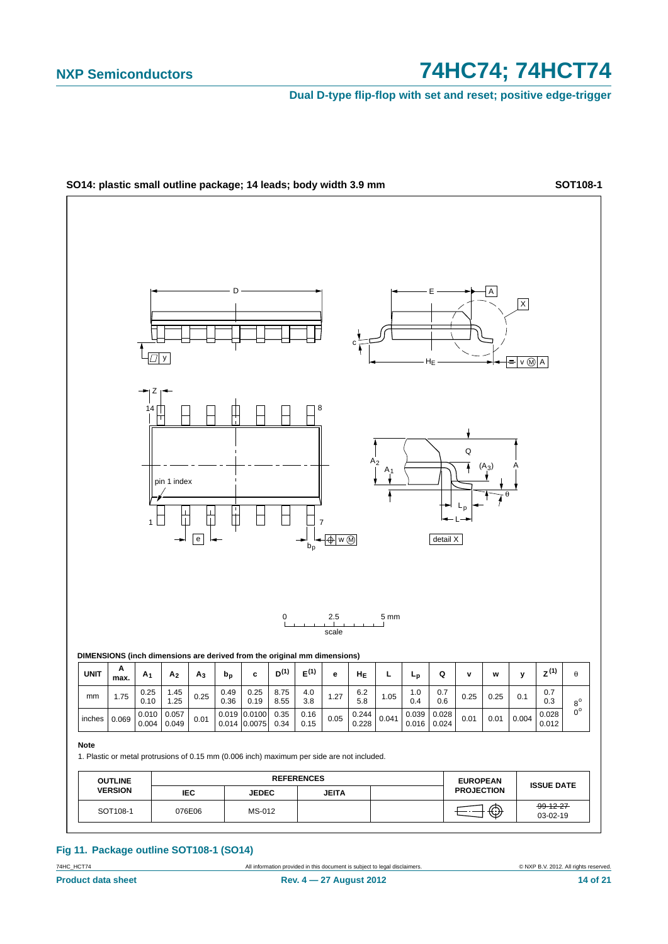**Dual D-type flip-flop with set and reset; positive edge-trigger**



### **Fig 11. Package outline SOT108-1 (SO14)**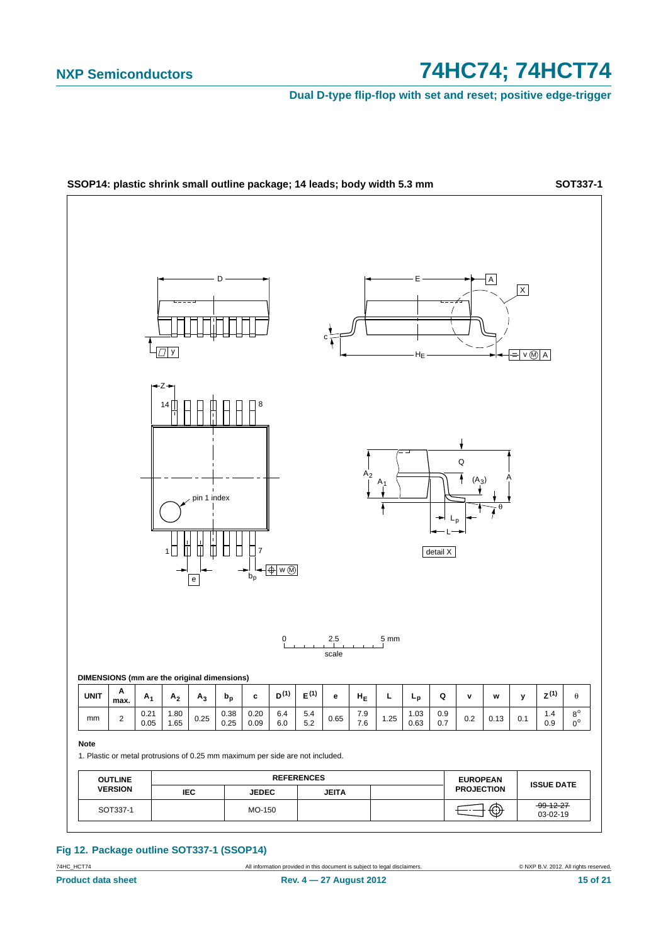**Dual D-type flip-flop with set and reset; positive edge-trigger**



### **Fig 12. Package outline SOT337-1 (SSOP14)**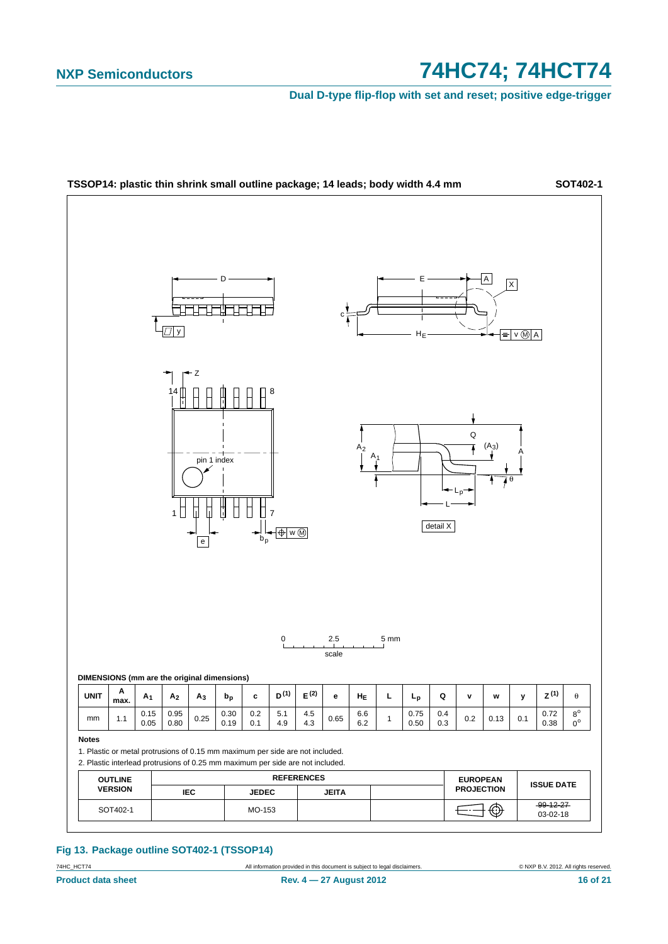**Dual D-type flip-flop with set and reset; positive edge-trigger**



### **Fig 13. Package outline SOT402-1 (TSSOP14)**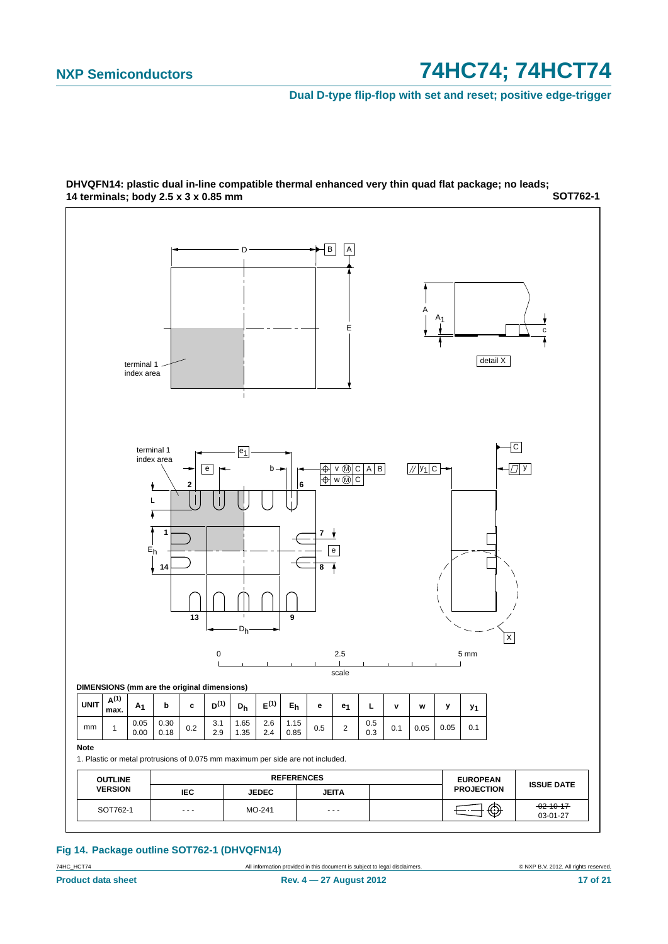**Dual D-type flip-flop with set and reset; positive edge-trigger**



**SOT762-1 DHVQFN14: plastic dual in-line compatible thermal enhanced very thin quad flat package; no leads; 14 terminals; body 2.5 x 3 x 0.85 mm**

### **Fig 14. Package outline SOT762-1 (DHVQFN14)**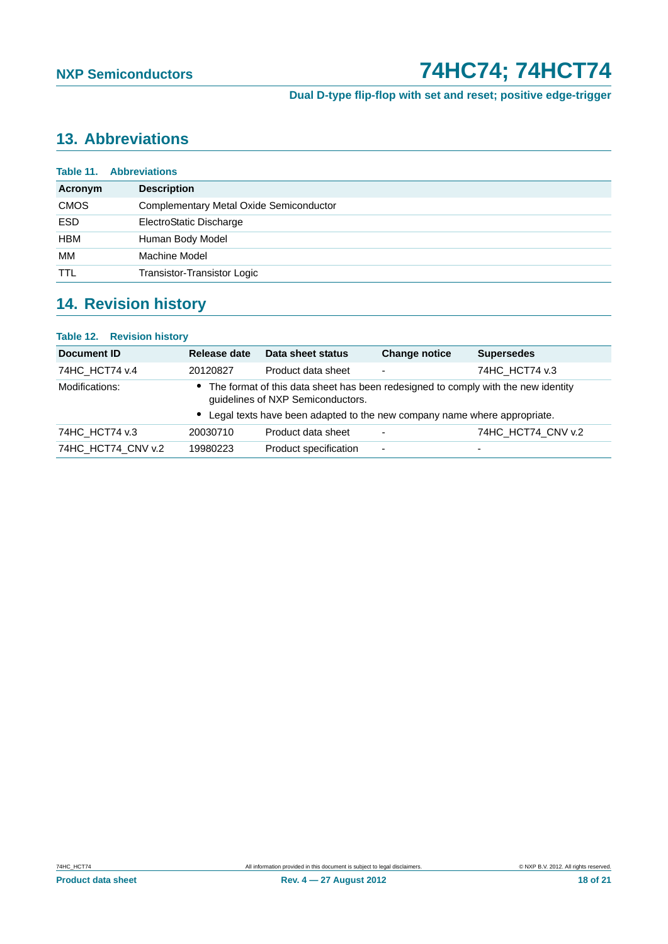**Dual D-type flip-flop with set and reset; positive edge-trigger**

# <span id="page-17-0"></span>**13. Abbreviations**

| Table 11.   | <b>Abbreviations</b>                           |  |  |
|-------------|------------------------------------------------|--|--|
| Acronym     | <b>Description</b>                             |  |  |
| <b>CMOS</b> | <b>Complementary Metal Oxide Semiconductor</b> |  |  |
| <b>ESD</b>  | ElectroStatic Discharge                        |  |  |
| <b>HBM</b>  | Human Body Model                               |  |  |
| МM          | Machine Model                                  |  |  |
| <b>TTL</b>  | Transistor-Transistor Logic                    |  |  |

# <span id="page-17-1"></span>**14. Revision history**

| Table 12. Revision history                                                                                                               |              |                                                                          |                      |                    |
|------------------------------------------------------------------------------------------------------------------------------------------|--------------|--------------------------------------------------------------------------|----------------------|--------------------|
| <b>Document ID</b>                                                                                                                       | Release date | Data sheet status                                                        | <b>Change notice</b> | <b>Supersedes</b>  |
| 74HC_HCT74 v.4                                                                                                                           | 20120827     | Product data sheet                                                       |                      | 74HC HCT74 v.3     |
| The format of this data sheet has been redesigned to comply with the new identity<br>Modifications:<br>guidelines of NXP Semiconductors. |              |                                                                          |                      |                    |
|                                                                                                                                          |              | Legal texts have been adapted to the new company name where appropriate. |                      |                    |
| 74HC HCT74 v.3                                                                                                                           | 20030710     | Product data sheet                                                       |                      | 74HC HCT74 CNV v.2 |
| 74HC HCT74 CNV v.2                                                                                                                       | 19980223     | Product specification                                                    | ۰                    |                    |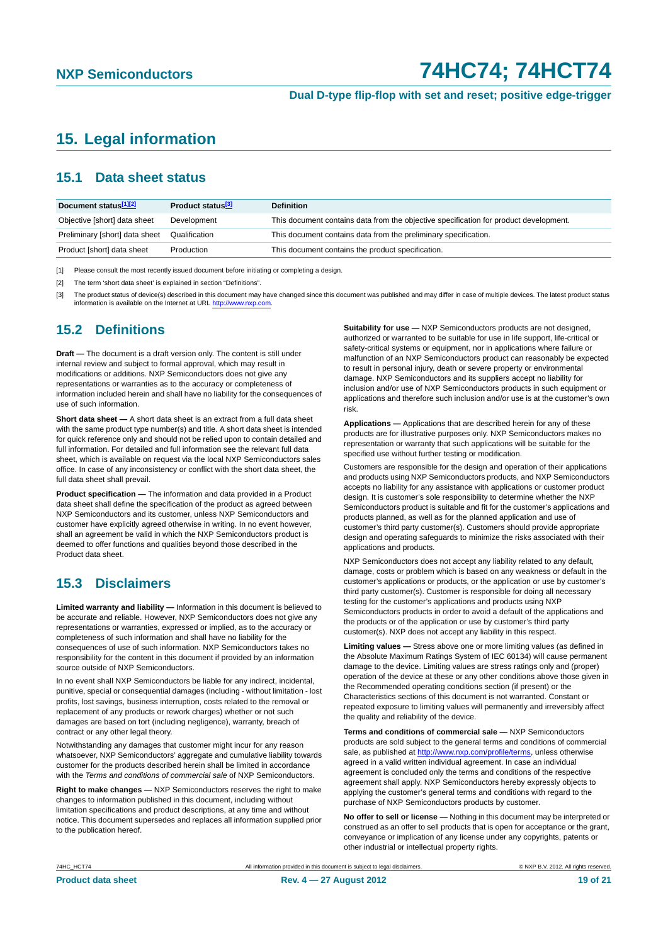**Dual D-type flip-flop with set and reset; positive edge-trigger**

## <span id="page-18-0"></span>**15. Legal information**

## <span id="page-18-1"></span>**15.1 Data sheet status**

| Document status[1][2]          | Product status <sup>[3]</sup> | <b>Definition</b>                                                                     |
|--------------------------------|-------------------------------|---------------------------------------------------------------------------------------|
| Objective [short] data sheet   | Development                   | This document contains data from the objective specification for product development. |
| Preliminary [short] data sheet | Qualification                 | This document contains data from the preliminary specification.                       |
| Product [short] data sheet     | Production                    | This document contains the product specification.                                     |

[1] Please consult the most recently issued document before initiating or completing a design.

[2] The term 'short data sheet' is explained in section "Definitions".

[3] The product status of device(s) described in this document may have changed since this document was published and may differ in case of multiple devices. The latest product status<br>information is available on the Intern

## <span id="page-18-2"></span>**15.2 Definitions**

**Draft —** The document is a draft version only. The content is still under internal review and subject to formal approval, which may result in modifications or additions. NXP Semiconductors does not give any representations or warranties as to the accuracy or completeness of information included herein and shall have no liability for the consequences of use of such information.

**Short data sheet —** A short data sheet is an extract from a full data sheet with the same product type number(s) and title. A short data sheet is intended for quick reference only and should not be relied upon to contain detailed and full information. For detailed and full information see the relevant full data sheet, which is available on request via the local NXP Semiconductors sales office. In case of any inconsistency or conflict with the short data sheet, the full data sheet shall prevail.

**Product specification —** The information and data provided in a Product data sheet shall define the specification of the product as agreed between NXP Semiconductors and its customer, unless NXP Semiconductors and customer have explicitly agreed otherwise in writing. In no event however, shall an agreement be valid in which the NXP Semiconductors product is deemed to offer functions and qualities beyond those described in the Product data sheet.

## <span id="page-18-3"></span>**15.3 Disclaimers**

**Limited warranty and liability —** Information in this document is believed to be accurate and reliable. However, NXP Semiconductors does not give any representations or warranties, expressed or implied, as to the accuracy or completeness of such information and shall have no liability for the consequences of use of such information. NXP Semiconductors takes no responsibility for the content in this document if provided by an information source outside of NXP Semiconductors.

In no event shall NXP Semiconductors be liable for any indirect, incidental, punitive, special or consequential damages (including - without limitation - lost profits, lost savings, business interruption, costs related to the removal or replacement of any products or rework charges) whether or not such damages are based on tort (including negligence), warranty, breach of contract or any other legal theory.

Notwithstanding any damages that customer might incur for any reason whatsoever, NXP Semiconductors' aggregate and cumulative liability towards customer for the products described herein shall be limited in accordance with the *Terms and conditions of commercial sale* of NXP Semiconductors.

**Right to make changes —** NXP Semiconductors reserves the right to make changes to information published in this document, including without limitation specifications and product descriptions, at any time and without notice. This document supersedes and replaces all information supplied prior to the publication hereof.

**Suitability for use —** NXP Semiconductors products are not designed, authorized or warranted to be suitable for use in life support, life-critical or safety-critical systems or equipment, nor in applications where failure or malfunction of an NXP Semiconductors product can reasonably be expected to result in personal injury, death or severe property or environmental damage. NXP Semiconductors and its suppliers accept no liability for inclusion and/or use of NXP Semiconductors products in such equipment or applications and therefore such inclusion and/or use is at the customer's own risk.

**Applications —** Applications that are described herein for any of these products are for illustrative purposes only. NXP Semiconductors makes no representation or warranty that such applications will be suitable for the specified use without further testing or modification.

Customers are responsible for the design and operation of their applications and products using NXP Semiconductors products, and NXP Semiconductors accepts no liability for any assistance with applications or customer product design. It is customer's sole responsibility to determine whether the NXP Semiconductors product is suitable and fit for the customer's applications and products planned, as well as for the planned application and use of customer's third party customer(s). Customers should provide appropriate design and operating safeguards to minimize the risks associated with their applications and products.

NXP Semiconductors does not accept any liability related to any default. damage, costs or problem which is based on any weakness or default in the customer's applications or products, or the application or use by customer's third party customer(s). Customer is responsible for doing all necessary testing for the customer's applications and products using NXP Semiconductors products in order to avoid a default of the applications and the products or of the application or use by customer's third party customer(s). NXP does not accept any liability in this respect.

**Limiting values —** Stress above one or more limiting values (as defined in the Absolute Maximum Ratings System of IEC 60134) will cause permanent damage to the device. Limiting values are stress ratings only and (proper) operation of the device at these or any other conditions above those given in the Recommended operating conditions section (if present) or the Characteristics sections of this document is not warranted. Constant or repeated exposure to limiting values will permanently and irreversibly affect the quality and reliability of the device.

**Terms and conditions of commercial sale —** NXP Semiconductors products are sold subject to the general terms and conditions of commercial sale, as published at<http://www.nxp.com/profile/terms>, unless otherwise agreed in a valid written individual agreement. In case an individual agreement is concluded only the terms and conditions of the respective agreement shall apply. NXP Semiconductors hereby expressly objects to applying the customer's general terms and conditions with regard to the purchase of NXP Semiconductors products by customer.

**No offer to sell or license —** Nothing in this document may be interpreted or construed as an offer to sell products that is open for acceptance or the grant, conveyance or implication of any license under any copyrights, patents or other industrial or intellectual property rights.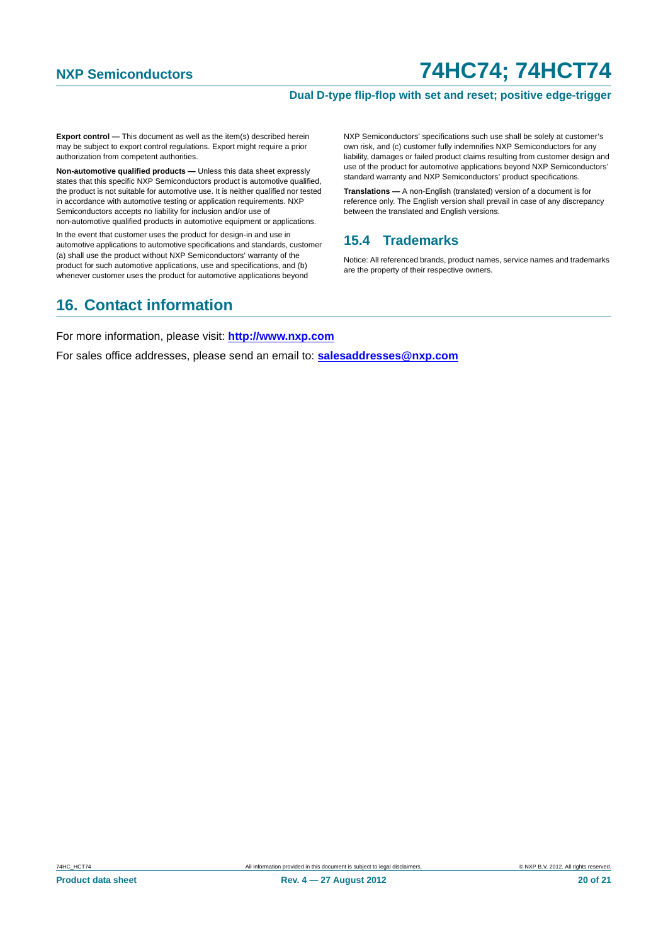### **Dual D-type flip-flop with set and reset; positive edge-trigger**

**Export control —** This document as well as the item(s) described herein may be subject to export control regulations. Export might require a prior authorization from competent authorities.

**Non-automotive qualified products —** Unless this data sheet expressly states that this specific NXP Semiconductors product is automotive qualified, the product is not suitable for automotive use. It is neither qualified nor tested in accordance with automotive testing or application requirements. NXP Semiconductors accepts no liability for inclusion and/or use of non-automotive qualified products in automotive equipment or applications.

In the event that customer uses the product for design-in and use in automotive applications to automotive specifications and standards, customer (a) shall use the product without NXP Semiconductors' warranty of the product for such automotive applications, use and specifications, and (b) whenever customer uses the product for automotive applications beyond

NXP Semiconductors' specifications such use shall be solely at customer's own risk, and (c) customer fully indemnifies NXP Semiconductors for any liability, damages or failed product claims resulting from customer design and use of the product for automotive applications beyond NXP Semiconductors' standard warranty and NXP Semiconductors' product specifications.

**Translations —** A non-English (translated) version of a document is for reference only. The English version shall prevail in case of any discrepancy between the translated and English versions.

## <span id="page-19-0"></span>**15.4 Trademarks**

Notice: All referenced brands, product names, service names and trademarks are the property of their respective owners.

## <span id="page-19-1"></span>**16. Contact information**

For more information, please visit: **http://www.nxp.com**

For sales office addresses, please send an email to: **salesaddresses@nxp.com**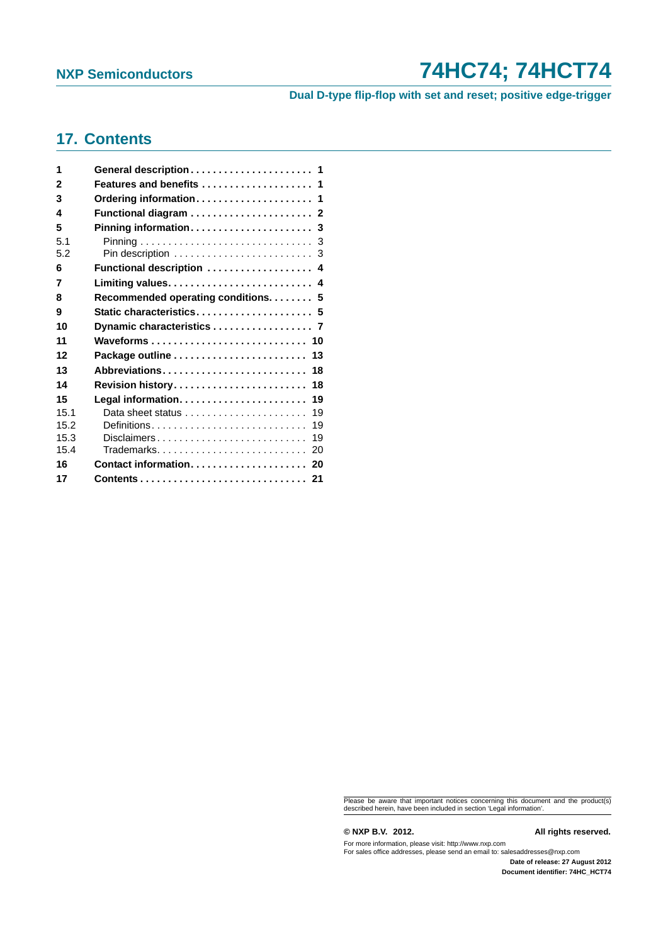**Dual D-type flip-flop with set and reset; positive edge-trigger**

## <span id="page-20-0"></span>**17. Contents**

| 1            | General description 1                                            |
|--------------|------------------------------------------------------------------|
| $\mathbf{2}$ | Features and benefits  1                                         |
| 3            | Ordering information 1                                           |
| 4            |                                                                  |
| 5            | Pinning information 3                                            |
| 5.1          |                                                                  |
| 5.2          |                                                                  |
| 6            | Functional description  4                                        |
| 7            |                                                                  |
| 8            | Recommended operating conditions. 5                              |
| 9            | Static characteristics 5                                         |
| 10           | Dynamic characteristics 7                                        |
| 11           | Waveforms  10                                                    |
| 12           |                                                                  |
| 13           | Abbreviations<br>18                                              |
| 14           | Revision history<br>18                                           |
| 15           | 19                                                               |
| 15.1         | Data sheet status $\ldots, \ldots, \ldots, \ldots, \ldots$<br>19 |
| 15.2         | 19                                                               |
| 15.3         | Disclaimers<br>19                                                |
| 15.4         |                                                                  |
| 16           | Contact information 20                                           |
| 17           |                                                                  |

Please be aware that important notices concerning this document and the product(s) described herein, have been included in section 'Legal information'.

**© NXP B.V. 2012. All rights reserved.**

For more information, please visit: http://www.nxp.com For sales office addresses, please send an email to: salesaddresses@nxp.com

**Date of release: 27 August 2012 Document identifier: 74HC\_HCT74**